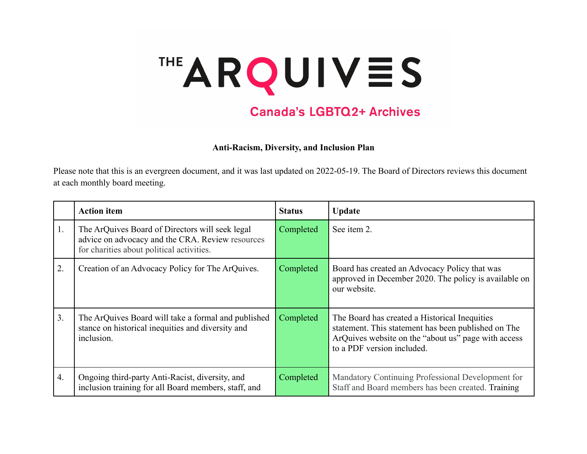## THE ARQUIVES

## **Canada's LGBTQ2+ Archives**

**Anti-Racism, Diversity, and Inclusion Plan**

Please note that this is an evergreen document, and it was last updated on 2022-05-19. The Board of Directors reviews this document at each monthly board meeting.

|                  | <b>Action item</b>                                                                                                                               | <b>Status</b> | <b>Update</b>                                                                                                                                                                             |
|------------------|--------------------------------------------------------------------------------------------------------------------------------------------------|---------------|-------------------------------------------------------------------------------------------------------------------------------------------------------------------------------------------|
| 1.               | The ArQuives Board of Directors will seek legal<br>advice on advocacy and the CRA. Review resources<br>for charities about political activities. | Completed     | See item 2.                                                                                                                                                                               |
| 2.               | Creation of an Advocacy Policy for The ArQuives.                                                                                                 | Completed     | Board has created an Advocacy Policy that was<br>approved in December 2020. The policy is available on<br>our website.                                                                    |
| 3.               | The ArQuives Board will take a formal and published<br>stance on historical inequities and diversity and<br>inclusion.                           | Completed     | The Board has created a Historical Inequities<br>statement. This statement has been published on The<br>ArQuives website on the "about us" page with access<br>to a PDF version included. |
| $\overline{4}$ . | Ongoing third-party Anti-Racist, diversity, and<br>inclusion training for all Board members, staff, and                                          | Completed     | Mandatory Continuing Professional Development for<br>Staff and Board members has been created. Training                                                                                   |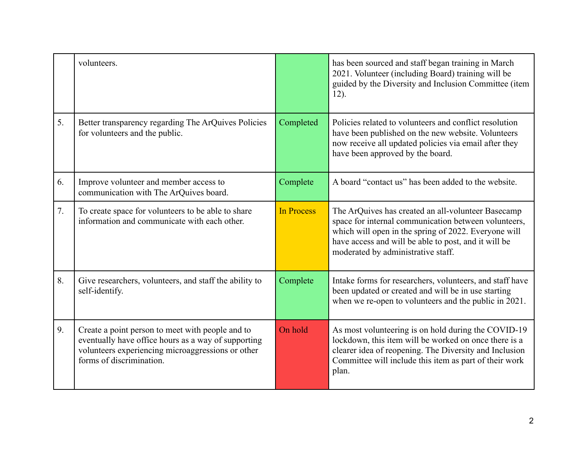|    | volunteers.                                                                                                                                                                              |                   | has been sourced and staff began training in March<br>2021. Volunteer (including Board) training will be<br>guided by the Diversity and Inclusion Committee (item<br>$12)$ .                                                                                     |
|----|------------------------------------------------------------------------------------------------------------------------------------------------------------------------------------------|-------------------|------------------------------------------------------------------------------------------------------------------------------------------------------------------------------------------------------------------------------------------------------------------|
| 5. | Better transparency regarding The ArQuives Policies<br>for volunteers and the public.                                                                                                    | Completed         | Policies related to volunteers and conflict resolution<br>have been published on the new website. Volunteers<br>now receive all updated policies via email after they<br>have been approved by the board.                                                        |
| 6. | Improve volunteer and member access to<br>communication with The ArQuives board.                                                                                                         | Complete          | A board "contact us" has been added to the website.                                                                                                                                                                                                              |
| 7. | To create space for volunteers to be able to share<br>information and communicate with each other.                                                                                       | <b>In Process</b> | The ArQuives has created an all-volunteer Basecamp<br>space for internal communication between volunteers,<br>which will open in the spring of 2022. Everyone will<br>have access and will be able to post, and it will be<br>moderated by administrative staff. |
| 8. | Give researchers, volunteers, and staff the ability to<br>self-identify.                                                                                                                 | Complete          | Intake forms for researchers, volunteers, and staff have<br>been updated or created and will be in use starting<br>when we re-open to volunteers and the public in 2021.                                                                                         |
| 9. | Create a point person to meet with people and to<br>eventually have office hours as a way of supporting<br>volunteers experiencing microaggressions or other<br>forms of discrimination. | On hold           | As most volunteering is on hold during the COVID-19<br>lockdown, this item will be worked on once there is a<br>clearer idea of reopening. The Diversity and Inclusion<br>Committee will include this item as part of their work<br>plan.                        |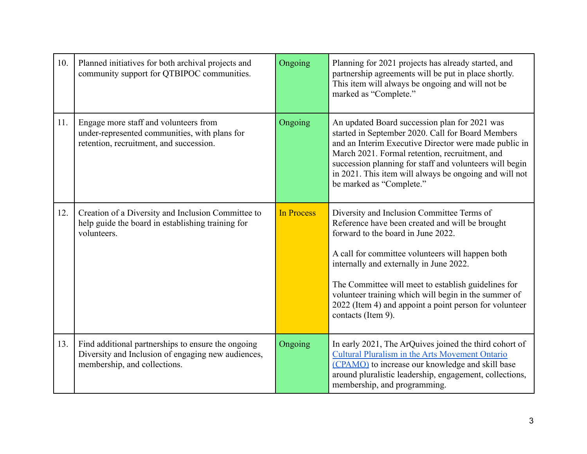| 10. | Planned initiatives for both archival projects and<br>community support for QTBIPOC communities.                                         | Ongoing    | Planning for 2021 projects has already started, and<br>partnership agreements will be put in place shortly.<br>This item will always be ongoing and will not be<br>marked as "Complete."                                                                                                                                                                                                                                          |
|-----|------------------------------------------------------------------------------------------------------------------------------------------|------------|-----------------------------------------------------------------------------------------------------------------------------------------------------------------------------------------------------------------------------------------------------------------------------------------------------------------------------------------------------------------------------------------------------------------------------------|
| 11. | Engage more staff and volunteers from<br>under-represented communities, with plans for<br>retention, recruitment, and succession.        | Ongoing    | An updated Board succession plan for 2021 was<br>started in September 2020. Call for Board Members<br>and an Interim Executive Director were made public in<br>March 2021. Formal retention, recruitment, and<br>succession planning for staff and volunteers will begin<br>in 2021. This item will always be ongoing and will not<br>be marked as "Complete."                                                                    |
| 12. | Creation of a Diversity and Inclusion Committee to<br>help guide the board in establishing training for<br>volunteers.                   | In Process | Diversity and Inclusion Committee Terms of<br>Reference have been created and will be brought<br>forward to the board in June 2022.<br>A call for committee volunteers will happen both<br>internally and externally in June 2022.<br>The Committee will meet to establish guidelines for<br>volunteer training which will begin in the summer of<br>2022 (Item 4) and appoint a point person for volunteer<br>contacts (Item 9). |
| 13. | Find additional partnerships to ensure the ongoing<br>Diversity and Inclusion of engaging new audiences,<br>membership, and collections. | Ongoing    | In early 2021, The ArQuives joined the third cohort of<br><b>Cultural Pluralism in the Arts Movement Ontario</b><br>(CPAMO) to increase our knowledge and skill base<br>around pluralistic leadership, engagement, collections,<br>membership, and programming.                                                                                                                                                                   |